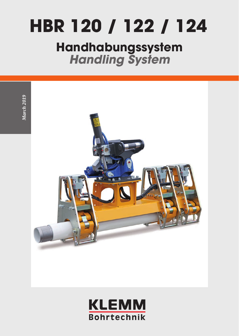# **HBR 120 / 122 / 124**

## **Handhabungssystem**  *Handling System*



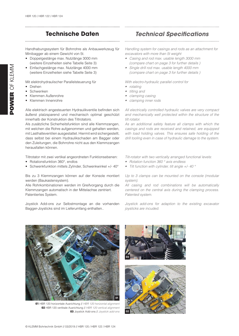#### **Technische Daten** *Technical Specifications*

Handhabungssystem für Bohrrohre als Anbauwerkzeug für Minibagger ab einem Gewicht von 5t.

- Doppelgestänge max. Nutzlänge 3000 mm (weitere Einzelheiten siehe Tabelle Seite 3)
- Einfachgestänge max. Nutzlänge 4000 mm (weitere Einzelheiten siehe Tabelle Seite 3)

Mit elektrohydraulischer Parallelsteuerung für

- Drehen
- Schwenken
- Klemmen Außenrohre
- Klemmen Innenrohre

Alle elektrisch angesteuerten Hydraulikventile befinden sich äußerst platzsparend und mechanisch optimal geschützt innerhalb der Konstruktion des Tiltrotators.

Als zusätzliche Sicherheitsfunktion sind alle Klemmzangen, mit welchen die Rohre aufgenommen und gehalten werden, mit Lasthalteventilen ausgestattet. Hiermit wird sichergestellt, dass selbst bei einem Hydraulikschaden am Bagger oder den Zuleitungen, die Bohrrohre nicht aus den Klemmzangen herausfallen können.

Tiltrotator mit zwei vertikal angeordneten Funktionsebenen:

- Rotationsfunktion 360°, endlos
- Schwenkfunktion mittels Zylinder, Schwenkwinkel +/- 40°

Bis zu 3 Klemmzangen können auf der Konsole montiert werden (Baukastensystem).

Alle Rohrkombinationen werden im Greifvorgang durch die Klemmzangen automatisch in der Mittelachse zentriert. Patentiertes System.

Joystick Add-ons zur Selbstmontage an die vorhanden Bagger-Joysticks sind im Lieferumfang enthalten..

*Handling system for casings and rods as an attachment for excavators with more than 5t weight*

- *• Casing and rod max. usable length 3000 mm (compare chart on page 3 for further details )*
- *• Single drill rod max. usable length 4000 mm (compare chart on page 3 for further details )*

*With electro-hydraulic parallel control for* 

- *• rotating*
- *• tilting and*
- *• clamping casing*
- *• clamping inner rods*

*All electrically controlled hydraulic valves are very compact and mechanically well protected within the structure of the tilt rotator.* 

*As an additional safety feature all clamps with which the casings and rods are received and retained, are equipped with load holding valves. This ensures safe holding of the drill tooling even in case of hydraulic damage to the system.* 

*Tilt-rotator with two vertically arranged functional levels:* 

- *• Rotation function 360 ° axis endless*
- *• Tilt function with cylinder, tilt angle +/- 40 °*

*Up to 3 clamps can be mounted on the console (modular system).* 

*All casing and rod combinations will be automatically centered on the central axis during the clamping process. Patented system.*

*Joystick add-ons for adaption to the existing excavator joysticks are incuded.* 



**01** HBR 120 horizontale Ausrichtung // *HBR 120 horizontal alignment* **02** HBR 120 vertikale Ausrichtung // *HBR 120 vertical alignment*  **03** Joystick Add-ons // *Joystick add-ons*



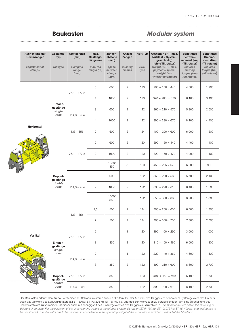### 

#### **Baukasten** *Modular system*

|     | Ausrichtung der<br>Klemmzangen<br>adjustment of<br>clamps | Gestänge-<br>typ<br>rod type           | Greifbereich<br>(mm)<br>clamping<br>range<br>(mm) | Max.<br>Gestänge-<br>länge (m)<br>max. rod<br>length (m) | Zangen-<br>abstand<br>(mm)<br>space<br>between<br>clamps<br>(mm) | Anzahl<br>Zangen<br>quantity<br>clamps | <b>HBR Typ</b><br><b>HBR</b><br>type | Gewicht HBR + max.<br><b>Nutzlast = System-</b><br>gewicht (kg)<br>(ohne Tiltrotator)<br>weight HBR + max.<br>payload = system<br>weight (kg)<br>(without tilt rotator) | <b>Benötigtes</b><br>Schwenk-<br>moment (Nm)<br>(Tiltrotator)<br>required<br>slewing<br>torque (Nm)<br>(tilt rotator) | <b>Benötigtes</b><br>Drehmo-<br>ment (Nm)<br>(Tiltrotator)<br>required<br>torque (Nm)<br>(tilt rotator) |
|-----|-----------------------------------------------------------|----------------------------------------|---------------------------------------------------|----------------------------------------------------------|------------------------------------------------------------------|----------------------------------------|--------------------------------------|-------------------------------------------------------------------------------------------------------------------------------------------------------------------------|-----------------------------------------------------------------------------------------------------------------------|---------------------------------------------------------------------------------------------------------|
|     | Horizontal                                                | Einfach-<br>gestänge<br>single<br>rods | $76,1 - 177,8$                                    | 3                                                        | 600                                                              | $\mathbf{2}$                           | 120                                  | $290 + 150 = 440$                                                                                                                                                       | 4.600                                                                                                                 | 1.900                                                                                                   |
|     |                                                           |                                        |                                                   | $\overline{4}$                                           | 1000                                                             | $\mathbf{2}$                           | 120                                  | $320 + 200 = 520$                                                                                                                                                       | 6.100                                                                                                                 | 3.100                                                                                                   |
|     |                                                           |                                        | $114,3 - 254$                                     | 3                                                        | 600                                                              | $\mathbf{2}$                           | 122                                  | $360 + 210 = 570$                                                                                                                                                       | 5.800                                                                                                                 | 2.600                                                                                                   |
|     |                                                           |                                        |                                                   | $\overline{4}$                                           | 1000                                                             | $\mathbf{2}$                           | 122                                  | $390 + 280 = 670$                                                                                                                                                       | 8.100                                                                                                                 | 4.400                                                                                                   |
|     |                                                           |                                        | $133 - 356$                                       | $\overline{c}$                                           | 500                                                              | $\mathbf{2}$                           | 124                                  | $400 + 200 = 600$                                                                                                                                                       | 6.000                                                                                                                 | 1.600                                                                                                   |
|     |                                                           | Doppel-<br>gestänge<br>double<br>rods  | $76,1 - 177,8$                                    | $\overline{c}$                                           | 600                                                              | $\mathbf{2}$                           | 120                                  | $290 + 150 = 440$                                                                                                                                                       | 4.400                                                                                                                 | 1.400                                                                                                   |
|     |                                                           |                                        |                                                   | $\overline{c}$                                           | 1000                                                             | $\mathbf{2}$                           | 120                                  | $320 + 150 = 470$                                                                                                                                                       | 4.900                                                                                                                 | 1.100                                                                                                   |
|     |                                                           |                                        |                                                   | 3                                                        | 1000/<br>350                                                     | 3                                      | 120                                  | $450 + 225 = 675$                                                                                                                                                       | 6.600                                                                                                                 | 900                                                                                                     |
| 980 |                                                           |                                        | $114,3 - 254$                                     | $\mathbf{2}$                                             | 600                                                              | $\mathbf{2}$                           | 122                                  | $360 + 220 = 580$                                                                                                                                                       | 5.700                                                                                                                 | 2.100                                                                                                   |
|     |                                                           |                                        |                                                   | 2                                                        | 1000                                                             | 2                                      | 122                                  | $390 + 220 = 610$                                                                                                                                                       | 6.400                                                                                                                 | 1.600                                                                                                   |
|     |                                                           |                                        |                                                   | 3                                                        | 1000/<br>350                                                     | 3                                      | 122                                  | $550 + 330 = 880$                                                                                                                                                       | 8.700                                                                                                                 | 1.300                                                                                                   |
|     |                                                           |                                        | $133 - 356$                                       | 1,5                                                      | 500                                                              | $\mathbf{2}$                           | 124                                  | $400 + 250 = 650$                                                                                                                                                       | 6.400                                                                                                                 | 1.800                                                                                                   |
|     |                                                           |                                        |                                                   | $\mathbf{2}$                                             | 500                                                              | $\mathbf{2}$                           | 124                                  | $400 + 350 = 750$                                                                                                                                                       | 7.300                                                                                                                 | 2.700                                                                                                   |
|     | Vertikal<br><mark>e a e</mark>                            | Einfach-<br>gestänge<br>single<br>rods | $76,1 - 177,8$                                    | $\overline{c}$                                           |                                                                  | 1                                      | 120                                  | $190 + 100 = 290$                                                                                                                                                       | 3.600                                                                                                                 | 1.000                                                                                                   |
|     |                                                           |                                        |                                                   | $\ensuremath{\mathsf{3}}$                                | 350                                                              | $\overline{c}$                         | 120                                  | $310 + 150 = 460$                                                                                                                                                       | 6.500                                                                                                                 | 1.800                                                                                                   |
|     |                                                           |                                        | $114,3 - 254$                                     | $\mathbf{2}$                                             | ÷,                                                               | 1                                      | 122                                  | $220 + 140 = 360$                                                                                                                                                       | 4.600                                                                                                                 | 1.500                                                                                                   |
|     |                                                           |                                        |                                                   | $\ensuremath{\mathsf{3}}$                                | 350                                                              | $\overline{c}$                         | 122                                  | $390 + 210 = 600$                                                                                                                                                       | 8.600                                                                                                                 | 2.700                                                                                                   |
|     |                                                           | Doppel-<br>gestänge<br>double<br>rods  | $76,1 - 177,8$                                    | $\mathbf{2}$                                             | 350                                                              | $\mathbf{2}$                           | 120                                  | $310 + 150 = 460$                                                                                                                                                       | 6.100                                                                                                                 | 1.800                                                                                                   |
|     |                                                           |                                        | $114,3 - 254$                                     | $\mathbf{2}$                                             | 350                                                              | $\mathbf{2}$                           | 122                                  | $390 + 220 = 610$                                                                                                                                                       | 8.100                                                                                                                 | 2.800                                                                                                   |

Der Baukasten erlaubt den Aufbau verschiedener Schwenkrotatoren auf den Greifern. Bei der Auswahl des Baggers ist neben dem Systemgewicht des Greifers auch das Gewicht des Schwenkrotators (ST 6: 150 kg; ST 10: 275 kg; ST 15: 400 kg) und des Bohrwerkzeugs zu berücksichtigen. Um eine Überlastung des Schwenkrotators zu vermeiden, ist dieser auch in Abhängigkeit des Einsatzgewichtes des Baggers auszuwählen. // *The modular system allows the mounting of different tilt-rotators. For the selection of the excavator the weight of the gripper system, tilt-rotator (ST 6: 150 kg; ST 10: 275 kg; ST 15: 400 kg) and tooling has to be considered. The tilt-rotator has to be choosen in accordance to the operating weight of the excavator to avoid an overload of the tilt-rotator.*